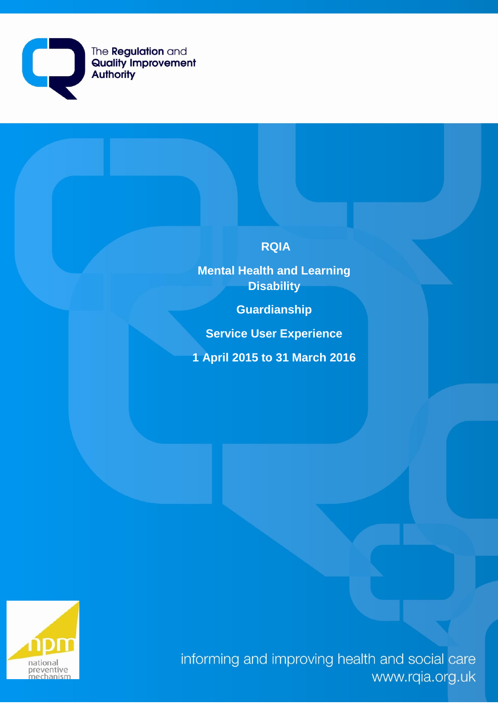

# **RQIA**

**Mental Health and Learning Disability** 

**Guardianship** 

**Service User Experience**

**1 April 2015 to 31 March 2016**



informing and improving health and social care www.rqia.org.uk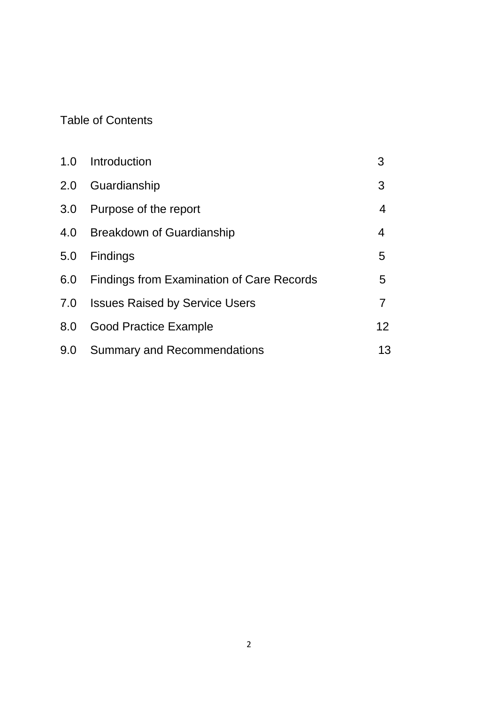# Table of Contents

|     | 1.0 Introduction                          | 3                 |
|-----|-------------------------------------------|-------------------|
| 2.0 | Guardianship                              | 3                 |
| 3.0 | Purpose of the report                     | 4                 |
| 4.0 | <b>Breakdown of Guardianship</b>          | 4                 |
| 5.0 | Findings                                  | 5                 |
| 6.0 | Findings from Examination of Care Records | 5                 |
| 7.0 | <b>Issues Raised by Service Users</b>     | 7                 |
| 8.0 | <b>Good Practice Example</b>              | $12 \overline{ }$ |
| 9.0 | <b>Summary and Recommendations</b>        | 13                |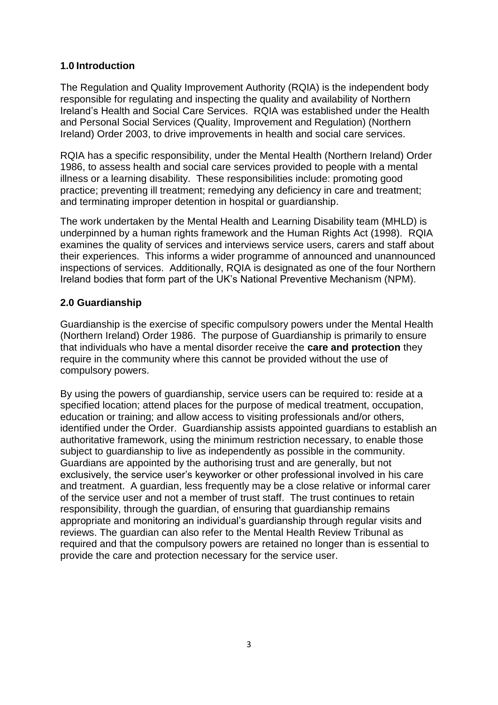## **1.0 Introduction**

The Regulation and Quality Improvement Authority (RQIA) is the independent body responsible for regulating and inspecting the quality and availability of Northern Ireland's Health and Social Care Services. RQIA was established under the Health and Personal Social Services (Quality, Improvement and Regulation) (Northern Ireland) Order 2003, to drive improvements in health and social care services.

RQIA has a specific responsibility, under the Mental Health (Northern Ireland) Order 1986, to assess health and social care services provided to people with a mental illness or a learning disability. These responsibilities include: promoting good practice; preventing ill treatment; remedying any deficiency in care and treatment; and terminating improper detention in hospital or guardianship.

The work undertaken by the Mental Health and Learning Disability team (MHLD) is underpinned by a human rights framework and the Human Rights Act (1998). RQIA examines the quality of services and interviews service users, carers and staff about their experiences. This informs a wider programme of announced and unannounced inspections of services. Additionally, RQIA is designated as one of the four Northern Ireland bodies that form part of the UK's National Preventive Mechanism (NPM).

## **2.0 Guardianship**

Guardianship is the exercise of specific compulsory powers under the Mental Health (Northern Ireland) Order 1986. The purpose of Guardianship is primarily to ensure that individuals who have a mental disorder receive the **care and protection** they require in the community where this cannot be provided without the use of compulsory powers.

By using the powers of guardianship, service users can be required to: reside at a specified location; attend places for the purpose of medical treatment, occupation, education or training; and allow access to visiting professionals and/or others, identified under the Order. Guardianship assists appointed guardians to establish an authoritative framework, using the minimum restriction necessary, to enable those subject to guardianship to live as independently as possible in the community. Guardians are appointed by the authorising trust and are generally, but not exclusively, the service user's keyworker or other professional involved in his care and treatment. A guardian, less frequently may be a close relative or informal carer of the service user and not a member of trust staff. The trust continues to retain responsibility, through the guardian, of ensuring that guardianship remains appropriate and monitoring an individual's guardianship through regular visits and reviews. The guardian can also refer to the Mental Health Review Tribunal as required and that the compulsory powers are retained no longer than is essential to provide the care and protection necessary for the service user.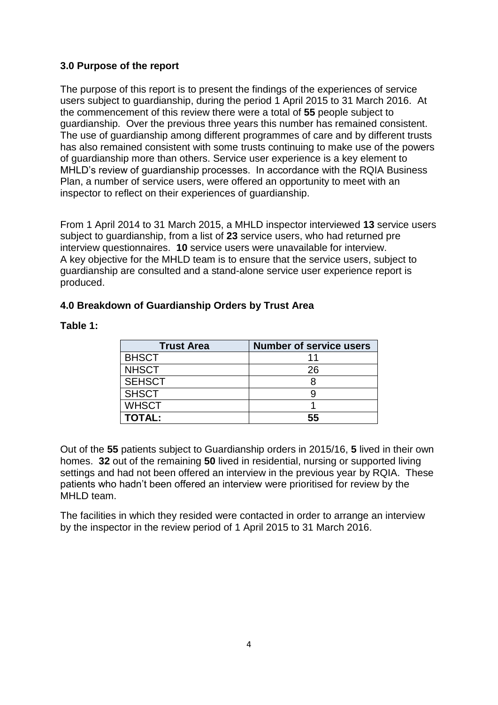## **3.0 Purpose of the report**

The purpose of this report is to present the findings of the experiences of service users subject to guardianship, during the period 1 April 2015 to 31 March 2016. At the commencement of this review there were a total of **55** people subject to guardianship. Over the previous three years this number has remained consistent. The use of guardianship among different programmes of care and by different trusts has also remained consistent with some trusts continuing to make use of the powers of guardianship more than others. Service user experience is a key element to MHLD's review of guardianship processes. In accordance with the RQIA Business Plan, a number of service users, were offered an opportunity to meet with an inspector to reflect on their experiences of guardianship.

From 1 April 2014 to 31 March 2015, a MHLD inspector interviewed **13** service users subject to guardianship, from a list of **23** service users, who had returned pre interview questionnaires. **10** service users were unavailable for interview. A key objective for the MHLD team is to ensure that the service users, subject to guardianship are consulted and a stand-alone service user experience report is produced.

# **4.0 Breakdown of Guardianship Orders by Trust Area**

| Table 1: |  |  |
|----------|--|--|
|          |  |  |

| <b>Trust Area</b> | <b>Number of service users</b> |
|-------------------|--------------------------------|
| <b>BHSCT</b>      |                                |
| <b>NHSCT</b>      | 26                             |
| <b>SEHSCT</b>     |                                |
| <b>SHSCT</b>      |                                |
| <b>WHSCT</b>      |                                |
| <b>TOTAL:</b>     | 55                             |

Out of the **55** patients subject to Guardianship orders in 2015/16, **5** lived in their own homes. **32** out of the remaining **50** lived in residential, nursing or supported living settings and had not been offered an interview in the previous year by RQIA. These patients who hadn't been offered an interview were prioritised for review by the MHLD team.

The facilities in which they resided were contacted in order to arrange an interview by the inspector in the review period of 1 April 2015 to 31 March 2016.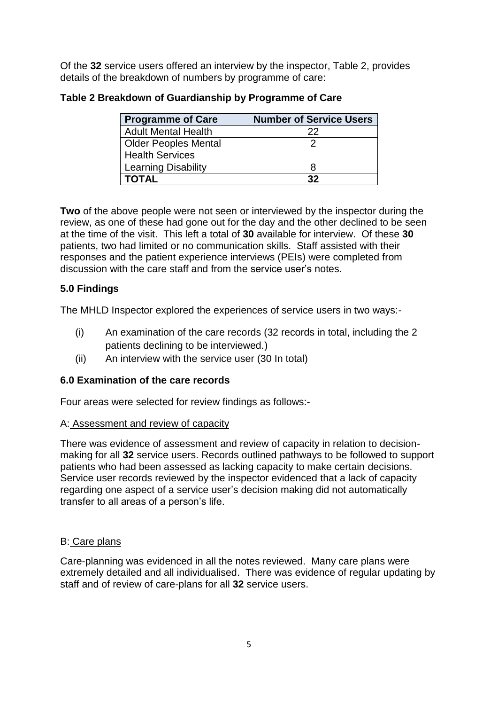Of the **32** service users offered an interview by the inspector, Table 2, provides details of the breakdown of numbers by programme of care:

| <b>Programme of Care</b>    | <b>Number of Service Users</b> |
|-----------------------------|--------------------------------|
| <b>Adult Mental Health</b>  | 22                             |
| <b>Older Peoples Mental</b> |                                |
| <b>Health Services</b>      |                                |
| <b>Learning Disability</b>  |                                |
| <b>TOTAL</b>                | 32                             |

## **Table 2 Breakdown of Guardianship by Programme of Care**

**Two** of the above people were not seen or interviewed by the inspector during the review, as one of these had gone out for the day and the other declined to be seen at the time of the visit. This left a total of **30** available for interview. Of these **30** patients, two had limited or no communication skills. Staff assisted with their responses and the patient experience interviews (PEIs) were completed from discussion with the care staff and from the service user's notes.

# **5.0 Findings**

The MHLD Inspector explored the experiences of service users in two ways:-

- (i) An examination of the care records (32 records in total, including the 2 patients declining to be interviewed.)
- (ii) An interview with the service user (30 In total)

# **6.0 Examination of the care records**

Four areas were selected for review findings as follows:-

## A: Assessment and review of capacity

There was evidence of assessment and review of capacity in relation to decisionmaking for all **32** service users. Records outlined pathways to be followed to support patients who had been assessed as lacking capacity to make certain decisions. Service user records reviewed by the inspector evidenced that a lack of capacity regarding one aspect of a service user's decision making did not automatically transfer to all areas of a person's life.

# B: Care plans

Care-planning was evidenced in all the notes reviewed. Many care plans were extremely detailed and all individualised. There was evidence of regular updating by staff and of review of care-plans for all **32** service users.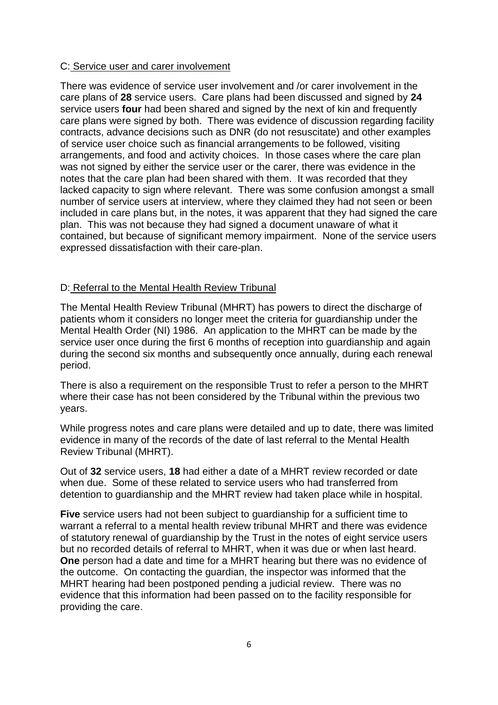#### C: Service user and carer involvement

There was evidence of service user involvement and /or carer involvement in the care plans of **28** service users. Care plans had been discussed and signed by **24**  service users **four** had been shared and signed by the next of kin and frequently care plans were signed by both. There was evidence of discussion regarding facility contracts, advance decisions such as DNR (do not resuscitate) and other examples of service user choice such as financial arrangements to be followed, visiting arrangements, and food and activity choices. In those cases where the care plan was not signed by either the service user or the carer, there was evidence in the notes that the care plan had been shared with them. It was recorded that they lacked capacity to sign where relevant. There was some confusion amongst a small number of service users at interview, where they claimed they had not seen or been included in care plans but, in the notes, it was apparent that they had signed the care plan. This was not because they had signed a document unaware of what it contained, but because of significant memory impairment. None of the service users expressed dissatisfaction with their care-plan.

## D: Referral to the Mental Health Review Tribunal

The Mental Health Review Tribunal (MHRT) has powers to direct the discharge of patients whom it considers no longer meet the criteria for guardianship under the Mental Health Order (NI) 1986. An application to the MHRT can be made by the service user once during the first 6 months of reception into guardianship and again during the second six months and subsequently once annually, during each renewal period.

There is also a requirement on the responsible Trust to refer a person to the MHRT where their case has not been considered by the Tribunal within the previous two years.

While progress notes and care plans were detailed and up to date, there was limited evidence in many of the records of the date of last referral to the Mental Health Review Tribunal (MHRT).

Out of **32** service users, **18** had either a date of a MHRT review recorded or date when due. Some of these related to service users who had transferred from detention to guardianship and the MHRT review had taken place while in hospital.

**Five** service users had not been subject to guardianship for a sufficient time to warrant a referral to a mental health review tribunal MHRT and there was evidence of statutory renewal of guardianship by the Trust in the notes of eight service users but no recorded details of referral to MHRT, when it was due or when last heard. **One** person had a date and time for a MHRT hearing but there was no evidence of the outcome. On contacting the guardian, the inspector was informed that the MHRT hearing had been postponed pending a judicial review. There was no evidence that this information had been passed on to the facility responsible for providing the care.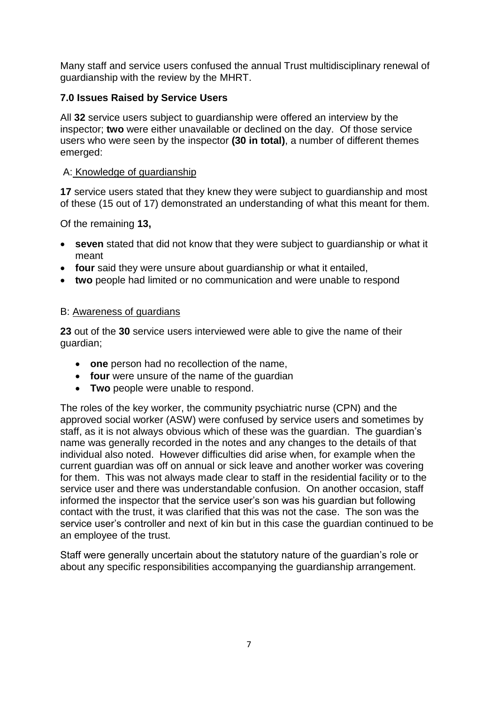Many staff and service users confused the annual Trust multidisciplinary renewal of guardianship with the review by the MHRT.

## **7.0 Issues Raised by Service Users**

All **32** service users subject to guardianship were offered an interview by the inspector; **two** were either unavailable or declined on the day. Of those service users who were seen by the inspector **(30 in total)**, a number of different themes emerged:

#### A: Knowledge of guardianship

**17** service users stated that they knew they were subject to guardianship and most of these (15 out of 17) demonstrated an understanding of what this meant for them.

Of the remaining **13,**

- **seven** stated that did not know that they were subject to guardianship or what it meant
- **four** said they were unsure about guardianship or what it entailed,
- **two** people had limited or no communication and were unable to respond

#### B: Awareness of guardians

**23** out of the **30** service users interviewed were able to give the name of their guardian;

- **one** person had no recollection of the name,
- **four** were unsure of the name of the guardian
- **Two** people were unable to respond.

The roles of the key worker, the community psychiatric nurse (CPN) and the approved social worker (ASW) were confused by service users and sometimes by staff, as it is not always obvious which of these was the guardian. The guardian's name was generally recorded in the notes and any changes to the details of that individual also noted. However difficulties did arise when, for example when the current guardian was off on annual or sick leave and another worker was covering for them. This was not always made clear to staff in the residential facility or to the service user and there was understandable confusion. On another occasion, staff informed the inspector that the service user's son was his guardian but following contact with the trust, it was clarified that this was not the case. The son was the service user's controller and next of kin but in this case the guardian continued to be an employee of the trust.

Staff were generally uncertain about the statutory nature of the guardian's role or about any specific responsibilities accompanying the guardianship arrangement.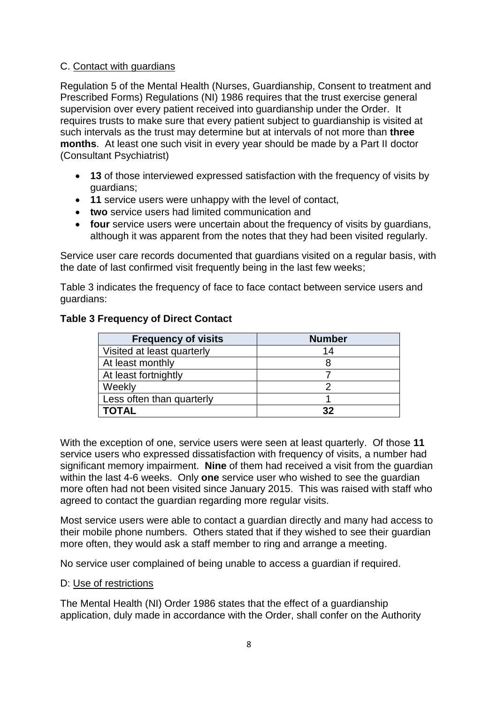## C. Contact with guardians

Regulation 5 of the Mental Health (Nurses, Guardianship, Consent to treatment and Prescribed Forms) Regulations (NI) 1986 requires that the trust exercise general supervision over every patient received into guardianship under the Order. It requires trusts to make sure that every patient subject to guardianship is visited at such intervals as the trust may determine but at intervals of not more than **three months**. At least one such visit in every year should be made by a Part II doctor (Consultant Psychiatrist)

- **13** of those interviewed expressed satisfaction with the frequency of visits by guardians;
- **11** service users were unhappy with the level of contact,
- **two** service users had limited communication and
- **four** service users were uncertain about the frequency of visits by guardians, although it was apparent from the notes that they had been visited regularly.

Service user care records documented that guardians visited on a regular basis, with the date of last confirmed visit frequently being in the last few weeks;

Table 3 indicates the frequency of face to face contact between service users and guardians:

| <b>Frequency of visits</b> | <b>Number</b> |
|----------------------------|---------------|
| Visited at least quarterly | 14            |
| At least monthly           |               |
| At least fortnightly       |               |
| Weekly                     |               |
| Less often than quarterly  |               |
| <b>TOTAL</b>               | 32            |

# **Table 3 Frequency of Direct Contact**

With the exception of one, service users were seen at least quarterly. Of those **11** service users who expressed dissatisfaction with frequency of visits, a number had significant memory impairment. **Nine** of them had received a visit from the guardian within the last 4-6 weeks. Only **one** service user who wished to see the guardian more often had not been visited since January 2015. This was raised with staff who agreed to contact the guardian regarding more regular visits.

Most service users were able to contact a guardian directly and many had access to their mobile phone numbers. Others stated that if they wished to see their guardian more often, they would ask a staff member to ring and arrange a meeting.

No service user complained of being unable to access a guardian if required.

## D: Use of restrictions

The Mental Health (NI) Order 1986 states that the effect of a guardianship application, duly made in accordance with the Order, shall confer on the Authority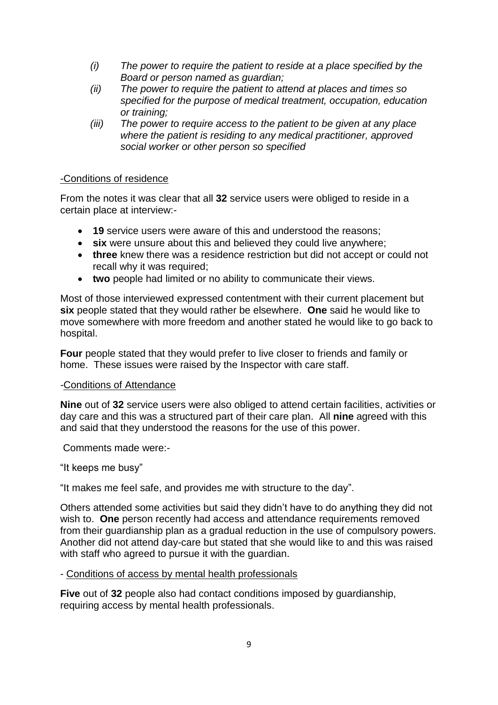- *(i) The power to require the patient to reside at a place specified by the Board or person named as guardian;*
- *(ii) The power to require the patient to attend at places and times so specified for the purpose of medical treatment, occupation, education or training;*
- *(iii) The power to require access to the patient to be given at any place where the patient is residing to any medical practitioner, approved social worker or other person so specified*

#### -Conditions of residence

From the notes it was clear that all **32** service users were obliged to reside in a certain place at interview:-

- **19** service users were aware of this and understood the reasons;
- **six** were unsure about this and believed they could live anywhere;
- **three** knew there was a residence restriction but did not accept or could not recall why it was required;
- **two** people had limited or no ability to communicate their views.

Most of those interviewed expressed contentment with their current placement but **six** people stated that they would rather be elsewhere. **One** said he would like to move somewhere with more freedom and another stated he would like to go back to hospital.

**Four** people stated that they would prefer to live closer to friends and family or home. These issues were raised by the Inspector with care staff.

#### *-*Conditions of Attendance

**Nine** out of **32** service users were also obliged to attend certain facilities, activities or day care and this was a structured part of their care plan. All **nine** agreed with this and said that they understood the reasons for the use of this power.

Comments made were:-

"It keeps me busy"

"It makes me feel safe, and provides me with structure to the day".

Others attended some activities but said they didn't have to do anything they did not wish to. **One** person recently had access and attendance requirements removed from their guardianship plan as a gradual reduction in the use of compulsory powers. Another did not attend day-care but stated that she would like to and this was raised with staff who agreed to pursue it with the guardian.

#### - Conditions of access by mental health professionals

**Five** out of **32** people also had contact conditions imposed by guardianship, requiring access by mental health professionals.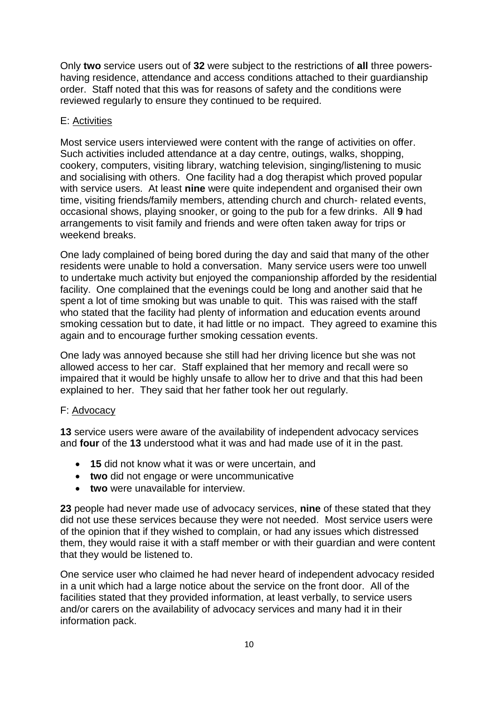Only **two** service users out of **32** were subject to the restrictions of **all** three powershaving residence, attendance and access conditions attached to their guardianship order. Staff noted that this was for reasons of safety and the conditions were reviewed regularly to ensure they continued to be required.

#### E: Activities

Most service users interviewed were content with the range of activities on offer. Such activities included attendance at a day centre, outings, walks, shopping, cookery, computers, visiting library, watching television, singing/listening to music and socialising with others. One facility had a dog therapist which proved popular with service users. At least **nine** were quite independent and organised their own time, visiting friends/family members, attending church and church- related events, occasional shows, playing snooker, or going to the pub for a few drinks. All **9** had arrangements to visit family and friends and were often taken away for trips or weekend breaks.

One lady complained of being bored during the day and said that many of the other residents were unable to hold a conversation. Many service users were too unwell to undertake much activity but enjoyed the companionship afforded by the residential facility. One complained that the evenings could be long and another said that he spent a lot of time smoking but was unable to quit. This was raised with the staff who stated that the facility had plenty of information and education events around smoking cessation but to date, it had little or no impact. They agreed to examine this again and to encourage further smoking cessation events.

One lady was annoyed because she still had her driving licence but she was not allowed access to her car. Staff explained that her memory and recall were so impaired that it would be highly unsafe to allow her to drive and that this had been explained to her. They said that her father took her out regularly.

## F: Advocacy

**13** service users were aware of the availability of independent advocacy services and **four** of the **13** understood what it was and had made use of it in the past.

- **15** did not know what it was or were uncertain, and
- **two** did not engage or were uncommunicative
- **two** were unavailable for interview.

**23** people had never made use of advocacy services, **nine** of these stated that they did not use these services because they were not needed. Most service users were of the opinion that if they wished to complain, or had any issues which distressed them, they would raise it with a staff member or with their guardian and were content that they would be listened to.

One service user who claimed he had never heard of independent advocacy resided in a unit which had a large notice about the service on the front door. All of the facilities stated that they provided information, at least verbally, to service users and/or carers on the availability of advocacy services and many had it in their information pack.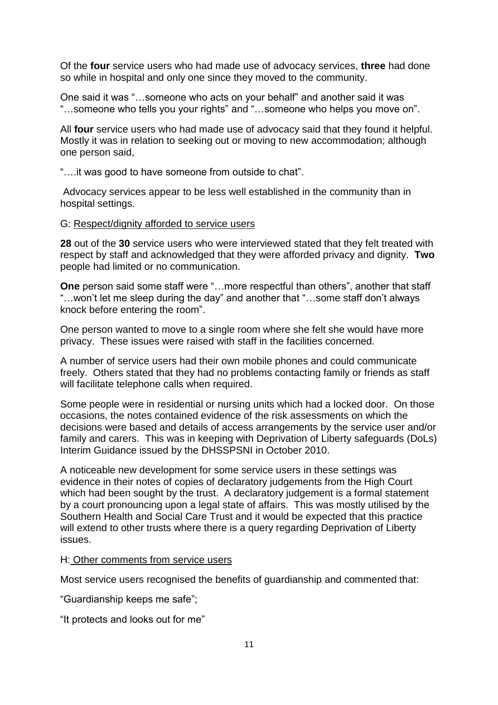Of the **four** service users who had made use of advocacy services, **three** had done so while in hospital and only one since they moved to the community.

One said it was "…someone who acts on your behalf" and another said it was "…someone who tells you your rights" and "…someone who helps you move on".

All **four** service users who had made use of advocacy said that they found it helpful. Mostly it was in relation to seeking out or moving to new accommodation; although one person said,

"….it was good to have someone from outside to chat".

Advocacy services appear to be less well established in the community than in hospital settings.

#### G: Respect/dignity afforded to service users

**28** out of the **30** service users who were interviewed stated that they felt treated with respect by staff and acknowledged that they were afforded privacy and dignity. **Two** people had limited or no communication.

**One** person said some staff were "…more respectful than others", another that staff "…won't let me sleep during the day" and another that "…some staff don't always knock before entering the room".

One person wanted to move to a single room where she felt she would have more privacy. These issues were raised with staff in the facilities concerned.

A number of service users had their own mobile phones and could communicate freely. Others stated that they had no problems contacting family or friends as staff will facilitate telephone calls when required.

Some people were in residential or nursing units which had a locked door. On those occasions, the notes contained evidence of the risk assessments on which the decisions were based and details of access arrangements by the service user and/or family and carers. This was in keeping with Deprivation of Liberty safeguards (DoLs) Interim Guidance issued by the DHSSPSNI in October 2010.

A noticeable new development for some service users in these settings was evidence in their notes of copies of declaratory judgements from the High Court which had been sought by the trust. A declaratory judgement is a formal statement by a court pronouncing upon a legal state of affairs. This was mostly utilised by the Southern Health and Social Care Trust and it would be expected that this practice will extend to other trusts where there is a query regarding Deprivation of Liberty issues.

#### H: Other comments from service users

Most service users recognised the benefits of guardianship and commented that:

"Guardianship keeps me safe";

"It protects and looks out for me"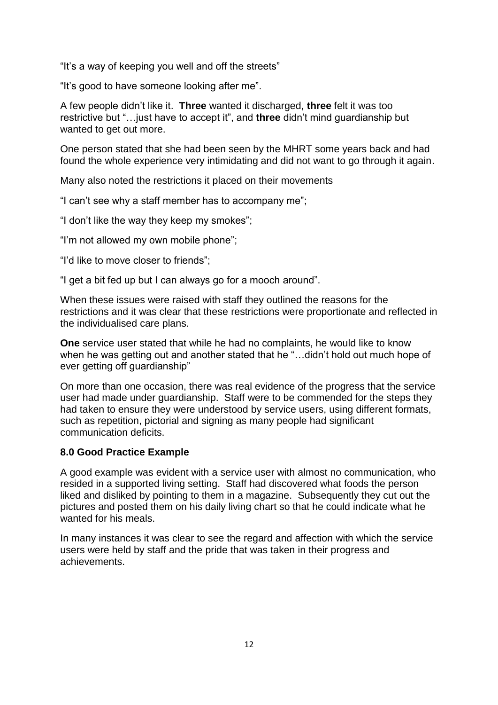"It's a way of keeping you well and off the streets"

"It's good to have someone looking after me".

A few people didn't like it. **Three** wanted it discharged, **three** felt it was too restrictive but "…just have to accept it", and **three** didn't mind guardianship but wanted to get out more.

One person stated that she had been seen by the MHRT some years back and had found the whole experience very intimidating and did not want to go through it again.

Many also noted the restrictions it placed on their movements

"I can't see why a staff member has to accompany me";

"I don't like the way they keep my smokes";

"I'm not allowed my own mobile phone";

"I'd like to move closer to friends";

"I get a bit fed up but I can always go for a mooch around".

When these issues were raised with staff they outlined the reasons for the restrictions and it was clear that these restrictions were proportionate and reflected in the individualised care plans.

**One** service user stated that while he had no complaints, he would like to know when he was getting out and another stated that he "…didn't hold out much hope of ever getting off guardianship"

On more than one occasion, there was real evidence of the progress that the service user had made under guardianship. Staff were to be commended for the steps they had taken to ensure they were understood by service users, using different formats, such as repetition, pictorial and signing as many people had significant communication deficits.

## **8.0 Good Practice Example**

A good example was evident with a service user with almost no communication, who resided in a supported living setting. Staff had discovered what foods the person liked and disliked by pointing to them in a magazine. Subsequently they cut out the pictures and posted them on his daily living chart so that he could indicate what he wanted for his meals.

In many instances it was clear to see the regard and affection with which the service users were held by staff and the pride that was taken in their progress and achievements.